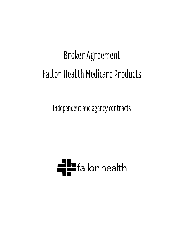# Broker Agreement Fallon Health Medicare Products

Independent and agency contracts

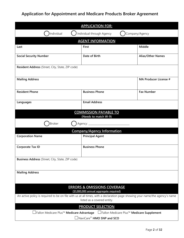# **Application for Appointment and Medicare Products Broker Agreement**

| <b>APPLICATION FOR:</b>                                                                            |                                                                        |                                                                                                                              |  |  |
|----------------------------------------------------------------------------------------------------|------------------------------------------------------------------------|------------------------------------------------------------------------------------------------------------------------------|--|--|
| Individual<br>Individual through Agency<br>Company/Agency                                          |                                                                        |                                                                                                                              |  |  |
|                                                                                                    | <b>AGENT INFORMATION</b>                                               |                                                                                                                              |  |  |
| Last                                                                                               | <b>First</b>                                                           | Middle                                                                                                                       |  |  |
| <b>Social Security Number</b>                                                                      | Date of Birth                                                          | <b>Alias/Other Names</b>                                                                                                     |  |  |
| Resident Address (Street, City, State, ZIP code)                                                   |                                                                        |                                                                                                                              |  |  |
| <b>Mailing Address</b>                                                                             |                                                                        | <b>MA Producer License #</b>                                                                                                 |  |  |
| <b>Resident Phone</b>                                                                              | <b>Business Phone</b>                                                  | <b>Fax Number</b>                                                                                                            |  |  |
| <b>Email Address</b><br>Languages                                                                  |                                                                        |                                                                                                                              |  |  |
| <b>COMMISSION PAYABLE TO</b>                                                                       |                                                                        |                                                                                                                              |  |  |
| (Needs to match W-9)<br>Agency: ____________<br><b>Broker</b>                                      |                                                                        |                                                                                                                              |  |  |
|                                                                                                    | <b>Company/Agency Information</b>                                      |                                                                                                                              |  |  |
| <b>Corporation Name</b>                                                                            | <b>Principal Agent</b>                                                 |                                                                                                                              |  |  |
| <b>Business Phone</b><br><b>Corporate Tax ID</b>                                                   |                                                                        |                                                                                                                              |  |  |
| Business Address (Street, City, State, ZIP code)                                                   |                                                                        |                                                                                                                              |  |  |
| <b>Mailing Address</b>                                                                             |                                                                        |                                                                                                                              |  |  |
| <b>ERRORS &amp; OMISSIONS COVERAGE</b>                                                             |                                                                        |                                                                                                                              |  |  |
|                                                                                                    | (\$1,000,000 annual aggregate required)<br>listed as a covered entity. | An active policy is required to be on file with us at all times, with a declaration page showing your name/the agency's name |  |  |
| <b>PRODUCT SELECTION</b>                                                                           |                                                                        |                                                                                                                              |  |  |
| <b>⊥Fallon Medicare Plus™ Medicare Advantage</b> LFallon Medicare Plus™ <b>Medicare Supplement</b> |                                                                        |                                                                                                                              |  |  |
| $\sqrt{ }$ NaviCare® HMO SNP and SCO                                                               |                                                                        |                                                                                                                              |  |  |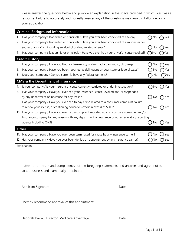Please answer the questions below and provide an explanation in the space provided in which "Yes" was a response. Failure to accurately and honestly answer any of the questions may result in Fallon declining your application.

|            | <b>Criminal Background Information</b>                                                          |     |              |
|------------|-------------------------------------------------------------------------------------------------|-----|--------------|
| 1.         | Has your company's leadership or principals / Have you ever been convicted of a felony?         |     |              |
| 2.         | Has your company's leadership or principals / Have you ever been convicted of a misdemeanor     |     |              |
|            | (other than traffic), including an alcohol or drug related offense?                             | Νo  | res          |
| 3.         | Has your company's leadership or principals / Have you ever had your driver's license revoked?  | No. | res          |
|            | <b>Credit History</b>                                                                           |     |              |
| 4.         | Has your company / Have you filed for bankruptcy and/or had a bankruptcy discharge              | No  | Yes          |
| 5.         | Has your company / Have you been reported as delinquent on your state or federal taxes?         | No  | Yes          |
| 6.         | Does your company / Do you currently have any federal tax liens?                                | No  | <b>)</b> Yes |
|            | <b>CMS &amp; the Department of Insurance</b>                                                    |     |              |
| $\sqrt{2}$ | Is your company / Is your insurance license currently restricted or under investigation?        | No  | Yes          |
| 8.         | Has your company / Have you ever had your insurance license revoked and/or suspended            |     |              |
|            | by any department of insurance for any reason?                                                  | No  | Yes          |
| 9.         | Has your company / Have you ever had to pay a fine related to a consumer complaint, failure     |     |              |
|            | to renew your license, or continuing education credit in excess of \$500?                       | No  | Yes          |
|            | 10. Has your company / Have you ever had a complaint reported against you by a consumer and/or  |     |              |
|            | Insurance company for any reason with any department of insurance or other regulatory reporting |     |              |
|            | agency including CMS?                                                                           | Νo  | Yes          |
|            | <b>Other</b>                                                                                    |     |              |
|            | 11. Has your company / Have you ever been terminated for cause by any insurance carrier?        |     | 'es          |
|            | 12. Has your company / Have you ever been denied an appointment by any insurance carrier?       | NO  | Yes          |
|            | Explanation                                                                                     |     |              |
|            |                                                                                                 |     |              |
|            |                                                                                                 |     |              |

I attest to the truth and completeness of the foregoing statements and answers and agree not to solicit business until I am dually appointed:

\_\_\_\_\_\_\_\_\_\_\_\_\_\_\_\_\_\_\_\_\_\_\_\_\_\_\_\_\_\_\_\_\_\_\_\_\_\_\_\_\_\_ \_\_\_\_\_\_\_\_\_\_\_\_\_\_\_\_\_\_\_\_\_\_\_\_

\_\_\_\_\_\_\_\_\_\_\_\_\_\_\_\_\_\_\_\_\_\_\_\_\_\_\_\_\_\_\_\_\_\_\_\_\_\_\_\_\_\_ \_\_\_\_\_\_\_\_\_\_\_\_\_\_\_\_\_\_\_\_\_\_\_\_

Applicant Signature Date

I hereby recommend approval of this appointment:

| Deborah Daviau, Director, Medicare Advantage | Date |
|----------------------------------------------|------|
|----------------------------------------------|------|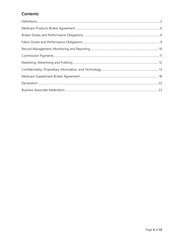## Contents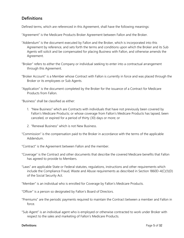## **Definitions**

Defined terms, which are referenced in this Agreement, shall have the following meanings:

"Agreement" is the Medicare Products Broker Agreement between Fallon and the Broker.

- "Addendum" is the document executed by Fallon and the Broker, which is incorporated into this Agreement by reference, and sets forth the terms and conditions upon which the Broker and its Sub Agents will solicit and be compensated for placing Business with Fallon, and otherwise amends the Agreement.
- "Broker" refers to *either* the Company or individual seeking to enter into a contractual arrangement through this Agreement.
- "Broker Account" is a Member whose Contract with Fallon is currently in force and was placed through the Broker or its employees or Sub Agents.
- "Application" is the document completed by the Broker for the issuance of a Contract for Medicare Products from Fallon.

"Business" shall be classified as either:

- 1. "New Business" which are Contracts with individuals that have not previously been covered by Fallon's Medicare Products; or whose coverage from Fallon's Medicare Products has lapsed, been canceled, or expired for a period of thirty (30) days or more; or
- 2. "Renewal Business" which is not New Business.
- "Commission" is the compensation paid to the Broker in accordance with the terms of the applicable Addendum.

"Contract" is the Agreement between Fallon and the member.

- "Coverage" is the Contract and other documents that describe the covered Medicare benefits that Fallon has agreed to provide to Members.
- "Laws" are applicable State or Federal statutes, regulations, instructions and other requirements which include the Compliance Fraud, Waste and Abuse requirements as described in Section 1860D-4(C)(1)(D) of the Social Security Act.

"Member" is an individual who is enrolled for Coverage by Fallon's Medicare Products.

"Officer" is a person so designated by Fallon's Board of Directors.

- "Premiums" are the periodic payments required to maintain the Contract between a member and Fallon in force.
- "Sub Agent" is an individual agent who is employed or otherwise contracted to work under Broker with respect to the sales and marketing of Fallon's Medicare Products.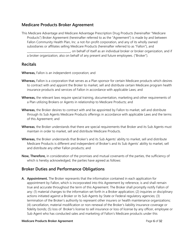## **Medicare Products Broker Agreement**

This Medicare Advantage and Medicare Advantage Prescription Drug Products (hereinafter "Medicare Products") Broker Agreement (hereinafter referred to as the "Agreement") is made by and between Fallon Community Health Plan, Inc. a not-for-profit corporation, and any of its wholly owned subsidiaries or affiliates selling Medicare Products (hereinafter referred to as "Fallon"), and \_\_\_\_\_\_\_\_\_\_\_\_\_\_\_\_\_\_\_\_\_\_\_\_\_\_\_\_\_, on behalf of itself as an individual broker or broker organization, and if a broker organization, also on behalf of any present and future employees. ("Broker").

#### **Recitals**

**Whereas,** Fallon is an independent corporation; and

- **Whereas,** Fallon is a corporation that serves as a Plan sponsor for certain Medicare products which desires to contract with and appoint the Broker to market, sell and distribute certain Medicare program health insurance products and services of Fallon in accordance with applicable Laws; and
- **Whereas,** the relevant laws require special training, documentation, marketing and other requirements of a Plan utilizing Brokers or Agents in relationship to Medicare Products; and
- **Whereas,** the Broker desires to contract with and be appointed by Fallon to market, sell and distribute through its Sub Agents Medicare Products offerings in accordance with applicable Laws and the terms of this Agreement; and
- **Whereas**, the Broker understands that there are special requirements that Broker and its Sub Agents must maintain in order to market, sell and distribute Medicare Products.
- **Whereas,** the Broker understands that Broker's and its Sub Agents' ability to market, sell and distribute Medicare Products is different and independent of Broker's and its Sub Agents' ability to market, sell and distribute any other Fallon products; and
- **Now, Therefore,** in consideration of the promises and mutual covenants of the parties, the sufficiency of which is hereby acknowledged, the parties have agreed as follows:

## **Broker Duties and Performance Obligations**

**A. Appointment.** The Broker represents that the information contained in each application for appointment by Fallon, which is incorporated into this Agreement by reference, is and shall remain true and accurate throughout the term of this Agreement. The Broker shall promptly notify Fallon of any: (1) material changes to the information set forth in a Broker application; (2) inquiries or disciplinary actions initiated against a Broker or its Sub Agents by State or Federal regulatory agencies; (3) termination of the Broker's authority to represent other insurers or health maintenance organizations; (4) cancellation, material modification or non-renewal of the Broker's liability insurance coverage or fidelity bonds; (5) loss of Broker's license to sell insurance or loss of license by any officer, employee or Sub Agent who has conducted sales and marketing of Fallon's Medicare products under this

#### **Medicare Products Broker Agreement Contract Contract Page 6 of 32**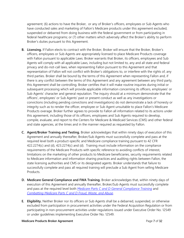agreement; (6) actions to have the Broker, or any of Broker's officers, employees or Sub Agents who have conducted sales and marketing of Fallon's Medicare products under this agreement excluded, suspended or debarred from doing business with the federal government or from participating in federal healthcare programs; or (7) other matters which adversely affect the Broker's ability to perform Broker's duties pursuant to this Agreement.

- **B. Licensing.** If Fallon elects to contract with the Broker, Broker will ensure that the Broker, Broker's officers, employees or Sub Agents are appropriately licensed to place Medicare Products coverage with Fallon pursuant to applicable Laws. Broker warrants that Broker, its officers, employees and Sub Agents will comply with all applicable Laws, including but not limited to, any and all state and federal privacy and do-not-call laws, when representing Fallon pursuant to this Agreement and that representation of Fallon will not conflict with Broker's obligations to, or interfere with the rights of, any third parties. Broker shall be bound by the terms of this Agreement when representing Fallon and, if there is any conflict between the terms of this Agreement and any agreement between any third party, this Agreement shall be controlling. Broker certifies that it will make routine inquiries during initial or subsequent processing which will provide applicable information concerning its officers, employees' or Sub Agents' character and general reputation. The inquiry should at a minimum demonstrate that the officers', employees' or Sub Agents' past or present conduct as well as any investigations or convictions (including pending convictions and investigations) do not demonstrate a lack of honesty or integrity such as to render the officer, employee or Sub Agent unsuitable to place Fallon's Medicare Products overage. Broker further agrees to provide to Fallon all information related to its actions under this agreement, including those of its officers, employees and Sub Agents required to develop, compile, evaluate, and report to the Centers for Medicare & Medicaid Services (CMS) and other federal and state agencies, at the times and in the manner required as requested by Fallon.
- **C. Agent/Broker Training and Testing.** Broker acknowledges that within ninety days of execution of this Agreement and annually thereafter, Broker/Sub Agents must successfully complete and pass at the required level both a product-specific and Medicare compliance training pursuant to 42 CFR 422.2274(c) and (d), 423.2274(c) and (d). Training must include information on the compliance requirements of the Medicare Products with specific reference to avoiding conflicts of interest, limitations on the marketing of other products to Medicare beneficiaries, security requirements related to Medicare information and information sharing practices and auditing rights between Fallon, the state licensing authorities and CMS or its designated agents. Broker understands that failure to successfully complete and pass all required training will preclude a Sub Agent from selling Medicare Products.
- **D. Medicare General Compliance and FWA Training.** Broker acknowledges that, within ninety days of execution of this Agreement and annually thereafter, Broker/Sub Agents must successfully complete and pass at the required level both *Medicare Parts C and D General Compliance Training* and *Combatting Medicare Parts C and D Fraud, Waste, and Abuse*.
- **E. Eligibility.** Neither Broker nor its officers or Sub Agents shall be a debarred, suspended, or otherwise excluded from participation in procurement activities under the Federal Acquisition Regulation or from participating in non-procurement activities under regulations issued under Executive Order No. 12549 or under guidelines implementing Executive Order No. 12549.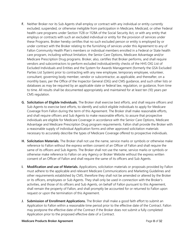- **F.** Neither Broker nor its Sub Agents shall employ or contract with any individual or entity currently excluded, suspended, or otherwise ineligible from participation in Medicare, Medicaid, or other Federal health care programs under Section 1128 or 1128A of the Social Security Act, or with any entity that employs or contracts with such an excluded individual or entity for the provision of services under these Programs. Broker hereby certifies that no such excluded person or entity is employed by or under contract with the Broker relating to the furnishing of services under this Agreement to any of Fallon Community Health Plan's members or individual members enrolled in a Federal or State health care program, including without limitation, the Senior Care Options, Medicare Advantage and/or Medicare Prescription Drug programs. Broker, also, certifies that Broker performs, and shall require vendors and subcontractors to perform excluded individual/entity checks of the HHS OIG List of Excluded Individuals and Entities and the System for Awards Management (formerly the GSA Excluded Parties List System) prior to contracting with any new employee, temporary employee, volunteer, consultant, governing body member, vendor or subcontractor, as applicable, and thereafter, on a monthly basis, per the Office of the Inspector General (OIG) and CMS guidance, and such other lists or databases as may be required by an applicable state or federal law, regulation, or guidance, from time to time. All results shall be documented appropriately and maintained for at least ten (10) years per CMS regulation.
- **G. Solicitation of Eligible Individuals.** The Broker shall exercise best efforts, and shall require officers and Sub Agents to exercise best efforts, to identify and solicit eligible individuals to apply for Medicare Coverage from Fallon during the term of this Agreement. The Broker shall make reasonable efforts, and shall require officers and Sub Agents to make reasonable efforts, to assure that prospective individuals are eligible for Medicare Coverage in accordance with the Senior Care Options, Medicare Advantage and Medicare Prescription Drug program requirements. Fallon shall provide the Broker with a reasonable supply of individual Application forms and other approved solicitation materials necessary to accurately describe the types of Medicare Coverage offered to prospective individuals.
- **H. Solicitation Materials.** The Broker shall not use the name, service marks or symbols or otherwise make reference to Fallon without the express written consent of an Officer of Fallon and shall require the same of its officers and Sub Agents. The Broker shall not use the name, service marks or symbols or otherwise make reference to Fallon on any Agency or Broker Website without the express written consent of an Officer of Fallon and shall require the same of its officers and Sub Agents.
- **I. Modification and use of Materials.** Applications, solicitation materials or proposals provided by Fallon must adhere to the applicable and relevant Medicare Communications and Marketing Guidelines and other requirements established by CMS, therefore they shall not be amended or altered by the Broker or its officers, employees or Sub Agents. They shall only be used in connection with the Broker's activities, and those of its officers and Sub Agents, on behalf of Fallon pursuant to this Agreement, shall remain the property of Fallon, and shall promptly be accounted for or returned to Fallon upon request or upon the termination of this Agreement.
- **J. Submission of Enrollment Applications.** The Broker shall make a good faith effort to submit an Application to Fallon within a reasonable time period prior to the effective date of the Contract. Fallon may postpone the effective date of the Contract if the Broker does not submit a fully completed Application prior to the proposed effective date of a Contract.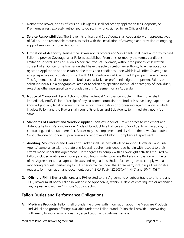- **K.** Neither the Broker, nor its officers or Sub Agents, shall collect any application fees, deposits, or Premiums unless expressly authorized to do so, in writing, signed by an Officer of Fallon.
- **L. Service Responsibilities.** The Broker, its officers and Sub Agents shall cooperate with representatives of Fallon, upon reasonable request, to assist with the installation of coverage and provision of ongoing support services to Broker Accounts.
- **M. Limitation of Authority.** Neither the Broker nor its officers and Sub Agents shall have authority to bind Fallon to provide Coverage, alter Fallon's established Premiums, or modify the terms, conditions, limitations or exclusions of Fallon's Medicare Product Coverage, without the prior express written consent of an Officer of Fallon. Fallon shall have the sole discretionary authority to either accept or reject an Application and to establish the terms and conditions upon which it will offer Coverage to any prospective individuals consistent with CMS Medicare Part C and Part D program requirements. This Agreement shall not grant the Broker an exclusive or preferential right to represent Fallon, or solicit individuals in a geographical area or to solicit any specified individual or category of individuals, except as otherwise specifically provided in this Agreement or an Addendum.
- **N. Notice of Complaint.** Legal Action or Other Potential Compliance Problems. The Broker shall immediately notify Fallon of receipt of any customer complaint or if Broker is served any paper or has knowledge of any legal or administrative action, investigation or proceeding against Fallon or which involves Fallon, and the Broker shall require its officers and Sub Agents to immediately notify it of same.
- **O. Standards of Conduct and Vendor/Supplier Code of Conduct.** Broker agrees to implement and distribute Fallon's Vendor/Supplier Code of Conduct to all officers and Sub Agents within 90 days of contracting, and annual thereafter. Broker may also implement and distribute their own Standards of Conduct/Code of Conduct upon review and approval of Fallon's Compliance Department.
- **P. Auditing, Monitoring and Oversight**. Broker shall use best efforts to monitor its officers' and Sub Agents' compliance with the state and federal requirements described herein with respect to their efforts made under this Agreement. Broker agrees to comply with all oversight activities required by Fallon, included routine monitoring and auditing in order to assess Broker's compliance with the terms of the Agreement and all applicable laws and regulations. Broker further agrees to comply with all monitoring requests pertaining to FTE's performance under the Agreement, including all reasonable requests for information and documentation. [42 C.F.R. §§ 422.503(b)(4)(vi)(6) and 504(i)(4)(iii)]
- **Q. Offshore PHI.** If Broker offshores any PHI related to this Agreement, or subcontracts to offshore any PHI, Broker must notify Fallon in writing (see Appendix A) within 30 days of entering into or amending any agreement with an Offshore Subcontractor.

## **Fallon Duties and Performance Obligations**

**A. Medicare Products.** Fallon shall provide the Broker with information about the Medicare Products individual and group offerings available under the Fallon brand. Fallon shall provide underwriting, fulfillment, billing, claims processing, adjudication and customer service.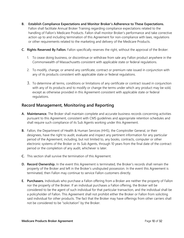- **B. Establish Compliance Expectations and Monitor Broker's Adherence to These Expectations.** Fallon shall facilitate Annual Broker Training regarding compliance expectations related to the handling of Fallon's Medicare Products. Fallon shall monitor Broker's performance and take corrective action up to and including termination of this Agreement for non-compliance with laws, regulations or other requirements related to the marketing and delivery of the Medicare Products.
- **C. Rights Reserved By Fallon.** Fallon specifically reserves the right, without the approval of the Broker:
	- 1. To cease doing business, or discontinue or withdraw from sale any Fallon product anywhere in the Commonwealth of Massachusetts consistent with applicable state or federal regulations.
	- 2. To modify, change, or amend any certificate, contract or premium rate issued in conjunction with any of its products consistent with applicable state or federal regulations.
	- 3. To determine all terms, conditions or limitations of any certificate or contract issued in conjunction with any of its products and to modify or change the terms under which any product may be sold, except as otherwise provided in this Agreement consistent with applicable state or federal regulations.

## **Record Management, Monitoring and Reporting**

- **A. Maintenance.** The Broker shall maintain complete and accurate business records concerning activities pursuant to this Agreement, consistent with CMS guidelines and appropriate retention schedules and shall require such compliance of its Sub Agents working under this Agreement.
- **B.** Fallon, the Department of Health & Human Services (HHS), the Comptroller General, or their designees, have the right to audit, evaluate and inspect any pertinent information for any particular period of the Agreement, including, but not limited to, any books, contracts, computer or other electronic systems of the Broker or its Sub Agents, through 10 years from the final date of the contract period or the completion of any audit, whichever is later.
- **C.** This section shall survive the termination of this Agreement.
- **D. Record Ownership.** In the event this Agreement is terminated, the Broker's records shall remain the property of the Broker and left in the Broker's undisputed possession. In the event this Agreement is terminated, then Fallon may continue to service Fallon customers directly.
- **E. Purchasers.** Individuals who purchase a Fallon offering from a Broker are neither the property of Fallon nor the property of the Broker. If an individual purchases a Fallon offering, the Broker will be considered to be the agent of such individual for that particular transaction, and the individual shall be a policyholder of Fallon. This Agreement shall not prohibit either the Broker or Fallon from soliciting said individual for other products. The fact that the Broker may have offerings from other carriers shall not be considered to be "solicitation" by the Broker.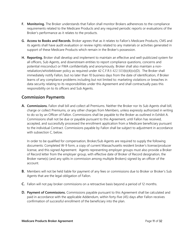- **F. Monitoring.** The Broker understands that Fallon shall monitor Brokers adherences to the compliance requirements related to the Medicare Products and any required periodic reports or evaluations of the Broker's performance as it relates to the products.
- **G. Access to Books and Records.** Broker agrees that as it relates to Fallon's Medicare Products, CMS and its agents shall have audit evaluation or review rights related to any materials or activities generated in support of these Medicare Products which remain in the Broker's possession.
- **H. Reporting.** Broker shall develop and implement to maintain an effective and well-publicized system for all officers, Sub Agents, and downstream entities to report compliance questions, concerns and potential misconduct or FWA confidentially and anonymously. Broker shall also maintain a nonretaliation/whistleblower policy as required under 42 C.F.R.§ 422.503(b)(4)(vi)(D). The Broker shall immediately notify Fallon, but no later than 10 business days from the date of identification, if Broker learns of any compliance problems including but not limited to: marketing violations or breaches in data security relating to its responsibilities under this Agreement and shall contractually pass this responsibility on to its officers and Sub Agents.

## **Commission Payments**

**A. Commissions.** Fallon shall bill and collect all Premiums. Neither the Broker nor its Sub Agents shall bill, charge or collect Premiums, or any other charges from Members, unless expressly authorized in writing to do so by an Officer of Fallon. Commissions shall be payable to the Broker as outlined in Exhibit A. Commissions shall not be due or payable pursuant to this Agreement, until Fallon has received, accepted, and successfully processed the enrollment application from a Medicare beneficiary pursuant to the individual Contract. Commissions payable by Fallon shall be subject to adjustment in accordance with subsection C, below.

In order to be qualified for compensation, Broker/Sub Agents are required to supply the following documents: Completed W-9 form, a copy of current Massachusetts resident broker's license/producer license, and this signed Agreement. Agents representing employer groups must also provide a Broker of Record letter from the employer group, with effective date of Broker of Record designation, the Broker name(s) (and any splits in commission among multiple Brokers) signed by an officer of the account.

- **B.** Members will not be held liable for payment of any fees or commissions due to Broker or Broker's Sub Agents that are the legal obligation of Fallon.
- **C.** Fallon will not pay broker commissions on a retroactive basis beyond a period of 12 months.
- **D. Payment of Commissions.** Commissions payable pursuant to this Agreement shall be calculated and paid in accordance with the applicable Addendum, within forty-five (45) days after Fallon receives confirmation of successful enrollment of the beneficiary into the plan.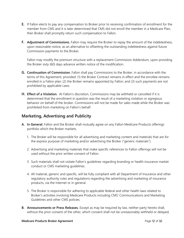- **E.** If Fallon elects to pay any compensation to Broker prior to receiving confirmation of enrollment for the member from CMS and it is later determined that CMS did not enroll the member in a Medicare Plan, then Broker shall promptly return such compensation to Fallon.
- **F. Adjustment of Commissions.** Fallon may require the Broker to repay the amount of the indebtedness, upon reasonable notice, as an alternative to offsetting the outstanding indebtedness against future Commission payments to the Broker.

Fallon may modify the premium structure with a replacement Commission Addendum, upon providing the Broker sixty (60) days advance written notice of the modification.

- **G. Continuation of Commission.** Fallon shall pay Commissions to the Broker, in accordance with the terms of this Agreement, provided: (1) the Broker Contract remains in effect and the enrollee remains enrolled in a Fallon plan; (2) the Broker remains appointed by Fallon; and (3) such payments are not prohibited by applicable Laws.
- **H. Effect of a Violation.** At Fallon's discretion, Commissions may be withheld or cancelled if it is determined that the enrollment in question was the result of a marketing violation or egregious behavior on behalf of the broker. Commissions will not be made for sales made while the Broker was prohibited from marketing on Fallon's behalf.

## **Marketing, Advertising and Publicity**

- **A. In General.** Fallon and the Broker shall mutually agree on any Fallon Medicare Products offerings portfolio which the Broker markets.
	- 1. The Broker will be responsible for all advertising and marketing content and materials that are for the express purpose of marketing and/or advertising the Broker ("generic materials").
	- 2. Advertising and marketing materials that make specific references to Fallon offerings will not be used without the prior written consent of Fallon.
	- 3. Such materials shall not violate Fallon's guidelines regarding branding or health insurance market conduct or CMS marketing guidelines.
	- 4. All material, generic and specific, will be fully compliant with all Department of Insurance and other regulatory authority rules and regulations regarding the advertising and marketing of insurance products, via the Internet or in general.
	- 5. The Broker is responsible for adhering to applicable federal and other health laws related to Broker's activities involving Medicare Products including CMS' Communications and Marketing Guidelines and other CMS policies.
- **B. Announcements or Press Releases.** Except as may be required by law, neither party hereto shall, without the prior consent of the other, which consent shall not be unreasonably withheld or delayed,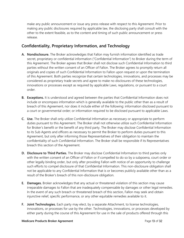make any public announcement or issue any press release with respect to this Agreement. Prior to making any public disclosures required by applicable law, the disclosing party shall consult with the other to the extent feasible, as to the content and timing of such public announcement or press release.

#### **Confidentiality, Proprietary Information, and Technology**

- **A. Nondisclosure.** The Broker acknowledges that Fallon may furnish information identified as trade secret, proprietary or confidential information ("Confidential Information") to Broker during the term of this Agreement. The Broker agrees that Broker shall not disclose such Confidential Information to third parties without the written consent of an Officer of Fallon. The Broker agrees to promptly return all originals and copies of such Confidential Information to Fallon upon request or upon the termination of this Agreement. Both parties recognize that certain technologies, innovations, and processes may be considered as proprietary trade secrets and agree to make no disclosures of these technologies, innovations or processes except as required by applicable Laws, regulations, or pursuant to a court order.
- **B. Exceptions.** It is understood and agreed between the parties that Confidential Information does not include or encompass information which is generally available to the public other than as a result of breach of this Agreement, nor does it include either of the following: information disclosed pursuant to a court or governmental order; or information required to be disclosed pursuant to applicable Laws.
- **C. Use.** The Broker shall only utilize Confidential Information as necessary or appropriate to perform duties pursuant to this Agreement. The Broker shall not otherwise utilize such Confidential Information for Broker's benefit or the benefit of any third party. The Broker may disclose Confidential Information to its Sub Agents and officers as necessary to permit the Broker to perform duties pursuant to this Agreement, but only after informing those Representatives of their obligation to maintain the confidentiality of such Confidential Information. The Broker shall be responsible if its Representatives breach this section of the Agreement.
- **D. Disclosure to Third Parties.** The Broker may disclose Confidential Information to third parties only with the written consent of an Officer of Fallon or if compelled to do so by a subpoena, court order or other legally binding order, but only after providing Fallon with notice of an opportunity to challenge such efforts to compel disclosure of that Confidential Information. This non-disclosure obligation shall not be applicable to any Confidential Information that is or becomes publicly available other than as a result of the Broker's breach of this non-disclosure obligation.
- **E. Damages.** Broker acknowledges that any actual or threatened violation of this section may cause irreparable damages to Fallon that are inadequately compensable by damages or other legal remedies. In the event of any such breach or threatened breach of this section, Fallon may seek and obtain injunctive relief, specific performance, or any other equitable remedies available to it.
- **F. Joint Technologies.** Each party may elect, by a separate Attachment, to license technologies, innovations, or processes for use by the other. Technologies, innovations, or processes developed by either party during the course of this Agreement for use in the sale of products offered through this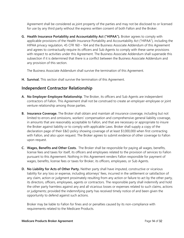Agreement shall be considered as joint property of the parties and may not be disclosed to or licensed for use by any third party without the express written consent of both Fallon and the Broker.

**G. Health Insurance Portability and Accountability Act ("HIPAA").** Broker agrees to comply with applicable provisions of the Health Insurance Portability and Accountability Act ("HIPAA"), including the HIPAA privacy regulation, 45 CFR 160 – 164 and the Business Associate Addendum of this Agreement and agrees to contractually require its officers and Sub Agents to comply with these same provisions with respect to activities under this Agreement. The Business Associate Addendum shall supersede this subsection if it is determined that there is a conflict between the Business Associate Addendum and any provision of this section.

The Business Associate Addendum shall survive the termination of this Agreement.

**H. Survival.** This section shall survive the termination of this Agreement.

#### **Independent Contractor Relationship**

- **A. No Employer-Employee Relationship**. The Broker, its officers and Sub Agents are independent contractors of Fallon. This Agreement shall not be construed to create an employer-employee or joint venture relationship among those parties.
- **B. Insurance Coverage.** The Broker shall obtain and maintain all insurance coverage, including but not limited to errors and omissions, workers' compensation and comprehensive general liability coverage, in amounts that are reasonably acceptable to Fallon, and that are necessary or appropriate to insure the Broker against liability or to comply with applicable Laws. Broker shall supply a copy of the declaration page of their E&O policy showing coverage of at least \$1,000,000 when first contracting with Fallon, and also upon request. The Broker agrees to submit evidence of other coverage to Fallon upon request.
- **C. Wages, Benefits and Other Costs.** The Broker shall be responsible for paying all wages, benefits, license fees and taxes for itself, its officers and employees related to the provision of services to Fallon pursuant to this Agreement. Nothing in this Agreement renders Fallon responsible for payment of wages, benefits, license fees or taxes for Broker, its officers, employees, or Sub Agents.
- **D. No Liability for Acts of Other Party.** Neither party shall have imputed, constructive or vicarious liability for any loss or expense, including attorneys' fees, incurred in the settlement or satisfaction of any claim, action or judgment proximately resulting from any action or failure to act by the other party, its directors, officers, employees, agents or contractors. The responsible party shall indemnify and hold the other party harmless against any and all vicarious losses or expenses related to such claims, actions or judgments; provided the indemnifying party has received timely notice of and been given the opportunity to defend against such actions.

Broker may be liable to Fallon for fines and or penalties caused by its non-compliance with requirements related to the Medicare Products.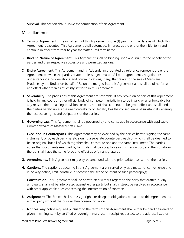**E. Survival.** This section shall survive the termination of this Agreement.

#### **Miscellaneous**

- **A. Term of Agreement:** The initial term of this Agreement is one (1) year from the date as of which this Agreement is executed. This Agreement shall automatically renew at the end of the initial term and continue in effect from year to year thereafter until terminated.
- **B. Binding Nature of Agreement.** This Agreement shall be binding upon and inure to the benefit of the parties and their respective successors and permitted assigns.
- **C. Entire Agreement.** This Agreement and its Addenda incorporated by reference represent the entire Agreement between the parties related to its subject matter. All prior agreements, negotiations, understandings, conversations, and communications, if any, that relate to the sale of Medicare Products by the Broker on behalf of Fallon are merged into this Agreement and shall be of no force and effect other than as expressly set forth in this Agreement.
- **D. Severability.** The provisions of this Agreement are severable. If any provision or part of this Agreement is held by any court or other official body of competent jurisdiction to be invalid or unenforceable for any reason, the remaining provisions or parts hereof shall continue to be given effect and shall bind the parties hereto unless the unenforceability or illegality has the consequence of substantially altering the respective rights and obligations of the parties.
- **E. Governing Law.** This Agreement shall be governed by and construed in accordance with applicable Commonwealth of Massachusetts Laws.
- **F. Execution in Counterparts.** This Agreement may be executed by the parties hereto signing the same instrument, or by each party hereto signing a separate counterpart, each of which shall be deemed to be an original, but all of which together shall constitute one and the same instrument. The parties agree that documents executed by facsimile shall be acceptable in this transaction, and the signatures thereof shall have the same force and effect as original signatures.
- **G. Amendments.** This Agreement may only be amended with the prior written consent of the parties.
- **H. Captions.** The captions appearing in this Agreement are inserted only as a matter of convenience and in no way define, limit, construe, or describe the scope or intent of such paragraph(s).
- **I. Construction.** This Agreement shall be constructed without regard to the party that drafted it. Any ambiguity shall not be interpreted against either party but shall, instead, be resolved in accordance with other applicable rules concerning the interpretation of contracts.
- **J. Assignment.** The Broker shall not assign rights or delegate obligations pursuant to this Agreement to a third party without the prior written consent of Fallon.
- **K. Notices.** Any notice required pursuant to the terms of this Agreement shall either be hand delivered or given in writing, sent by certified or overnight mail, return receipt requested, to the address listed on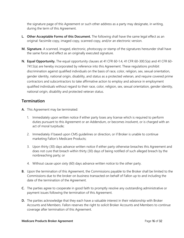the signature page of this Agreement or such other address as a party may designate, in writing, during the term of this Agreement.

- **L. Other Acceptable Forms of this Document.** The following shall have the same legal effect as an original: facsimile copy, imaged copy, scanned copy, and/or an electronic version.
- **M. Signature.** A scanned, imaged, electronic, photocopy or stamp of the signatures hereunder shall have the same force and effect as an originally executed signature.
- **N. Equal Opportunity.** The equal opportunity clauses at 41 CFR 60-1.4, 41 CFR 60-300.5(a) and 41 CFR 60- 741.5(a) are hereby incorporated by reference into this Agreement. These regulations prohibit discrimination against qualified individuals on the basis of race, color, religion, sex, sexual orientation, gender identity, national origin, disability, and status as a protected veteran, and require covered prime contractors and subcontractors to take affirmative action to employ and advance in employment qualified individuals without regard to their race, color, religion, sex, sexual orientation, gender identity, national origin, disability and protected veteran status.

#### **Termination**

- **A.** This Agreement may be terminated:
	- 1. Immediately upon written notice if either party loses any license which is required to perform duties pursuant to this Agreement or an Addendum, or becomes insolvent, or is charged with an act of moral turpitude;
	- 2. Immediately if based upon CMS guidelines or direction, or if Broker is unable to continue marketing Fallon's Medicare Products;
	- 3. Upon thirty (30) days advance written notice if either party otherwise breaches this Agreement and does not cure that breach within thirty (30) days of being notified of such alleged breach by the nonbreaching party; or
	- 4. Without cause upon sixty (60) days advance written notice to the other party.
- **B.** Upon the termination of this Agreement, the Commissions payable to the Broker shall be limited to the Commissions due to the broker on business transacted on behalf of Fallon up to and including the date of the termination of the Agreement.
- **C.** The parties agree to cooperate in good faith to promptly resolve any outstanding administrative or payment issues following the termination of this Agreement.
- **D.** The parties acknowledge that they each have a valuable interest in their relationship with Broker Accounts and Members. Fallon reserves the right to solicit Broker Accounts and Members to continue coverage after termination of this Agreement.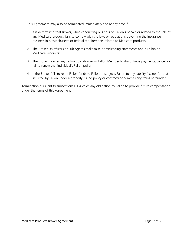- **E.** This Agreement may also be terminated immediately and at any time if:
	- 1. It is determined that Broker, while conducting business on Fallon's behalf, or related to the sale of any Medicare product, fails to comply with the laws or regulations governing the insurance business in Massachusetts or federal requirements related to Medicare products;
	- 2. The Broker, its officers or Sub Agents make false or misleading statements about Fallon or Medicare Products;
	- 3. The Broker induces any Fallon policyholder or Fallon Member to discontinue payments, cancel, or fail to renew that individual's Fallon policy;
	- 4. If the Broker fails to remit Fallon funds to Fallon or subjects Fallon to any liability (except for that incurred by Fallon under a properly issued policy or contract) or commits any fraud hereunder.

Termination pursuant to subsections E 1-4 voids any obligation by Fallon to provide future compensation under the terms of this Agreement.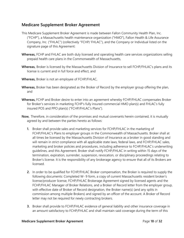## **Medicare Supplement Broker Agreement**

- This Medicare Supplement Broker Agreement is made between Fallon Community Health Plan, Inc. ("FCHP"), a Massachusetts health maintenance organization ("HMO"), Fallon Health & Life Assurance Company, Inc. ("FHLAC") (collectively "FCHP/ FHLAC"), and the Company or Individual listed on the signature page of this Agreement:
- **Whereas,** FCHP and FHLAC are both duly licensed and operating health care services organizations selling prepaid health care plans in the Commonwealth of Massachusetts,
- **Whereas,** Broker is licensed by the Massachusetts Division of Insurance to sell FCHP/FHLAC's plans and its license is current and in full force and effect, and
- **Whereas,** Broker is not an employee of FCHP/FHLAC,
- **Whereas,** Broker has been designated as the Broker of Record by the employer group offering the plan, and
- **Whereas,** FCHP and Broker desire to enter into an agreement whereby FCHP/FHLAC compensates Broker for Broker's services in marketing FCHP's fully insured commercial HMO plan(s) and FHLAC's fully insured POS and PPO plan(s) ("FCHP/FHLAC's Plans").
- **Now,** Therefore, in consideration of the promises and mutual covenants herein contained, it is mutually agreed by and between the parties hereto as follows:
	- **1.** Broker shall provide sales and marketing services for FCHP/FHLAC in the marketing of FCHP/FHLAC's Plans to employer groups in the Commonwealth of Massachusetts. Broker shall at all times be licensed by the Massachusetts Division of Insurance as a broker in good standing and will remain in strict compliance with all applicable state laws, federal laws, and FCHP/FHLAC sales, marketing and broker policies and procedures, including adherence to FCHP/FHLAC's underwriting guidelines, and this Agreement. Broker shall notify FCHP/FHLAC in writing within 15 days of the termination, expiration, surrender, suspension, revocation, or disciplinary proceedings relating to Broker's license. It is the responsibility of any brokerage agency to ensure that all of its Brokers are licensed.
	- **2.** In order to be qualified for FCHP/FHLAC Broker compensation, the Broker is required to supply the following documents: Completed W- 9 form, a copy of current Massachusetts resident broker's license/producer license, FCHP/FHLAC Brokerage Agreement signed by licensed agents and the FCHP/FHLAC Manager of Broker Relations, and a Broker of Record letter from the employer group, with effective date of Broker of Record designation, the Broker name(s) (and any splits in commission among multiple Brokers) and signed by an officer of the account. A Broker of Record letter may not be required for newly contracting brokers.
	- **3.** Broker shall provide to FCHP/FHLAC evidence of general liability and other insurance coverage in an amount satisfactory to FCHP/FHLAC and shall maintain said coverage during the term of this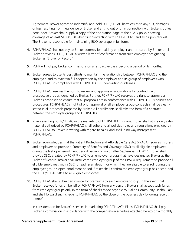Agreement. Broker agrees to indemnify and hold FCHP/FHLAC harmless as to any suit, damages, or loss resulting from negligence of Broker and arising out of or in connection with Broker's duties hereunder. Broker shall supply a copy of the declaration page of their E&O policy showing coverage of at least \$1,000,000 when first contracting with FCHP/FHLAC, and also upon request. The Broker is responsible for maintaining E&O coverage in full form.

- **4.** FCHP/FHLAC shall not pay to Broker commission paid by employer and procured by Broker until Broker provides FCHP/FHLAC a written letter of confirmation from such employer designating Broker as "Broker of Record."
- **5.** FCHP will not pay broker commissions on a retroactive basis beyond a period of 12 months.
- **6.** Broker agrees to use its best efforts to maintain the relationship between FCHP/FHLAC and the employer, and to maintain full cooperation by the employer and its group of employees with FCHP/FHLAC, in compliance with FCHP/FHLAC's underwriting guidelines.
- **7.** FCHP/FHLAC reserves the right to review and approve all applications for contracts with prospective groups identified by Broker. Further, FCHP/FHLAC reserves the right to approve all Broker's proposals to ensure that all proposals are in conformance with FCHP/FHLAC's policies and procedures. FCHP/FHLAC's right of prior approval of all employer group contracts shall be clearly stated in all proposals prepared by Broker. All enrollments shall take the form of a contract between the employer group and FCHP/FHLAC.
- **8.** In representing FCHP/FHLAC in the marketing of FCHP/FHLAC's Plans, Broker shall utilize only sales material authorized by FCHP/FHLAC, shall adhere to all policies, rules and regulations provided by FCHP/FHLAC to Broker in writing with regard to sales, and shall in no way misrepresent FCHP/FHLAC.
- **9.** Broker acknowledges that the Patient Protection and Affordable Care Act (PPACA) requires insurers and employers to provide a Summary of Benefits and Coverage (SBC) to all eligible employees during the first open enrollment period beginning on or after September 23, 2012. Broker shall provide SBCs created by FCHP/FHLAC to all employer groups that have designated Broker as the Broker of Record. Broker shall instruct the employer group of the PPACA requirement to provide all eligible employees with a SBC for each plan design for which they are eligible to enroll during the employer group's open enrollment period. Broker shall confirm the employer group has distributed the FCHP/FHLAC SBCs to all eligible employees.
- **10.** FCHP/FHLAC shall submit an invoice for premiums to each employer group. In the event that Broker receives funds on behalf of FCHP/ FHLAC from any person, Broker shall accept such funds from employer groups only in the form of checks made payable to "Fallon Community Health Plan" and shall forward such checks to FCHP/FHLAC by the close of the business day following receipt thereof.
- **11.** In consideration for Broker's services in marketing FCHP/FHLAC's Plans, FCHP/FHLAC shall pay Broker a commission in accordance with the compensation schedule attached hereto on a monthly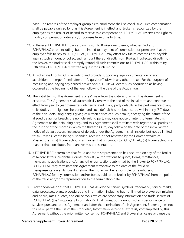basis. The records of the employer group as to enrollment shall be conclusive. Such compensation shall be payable only so long as this Agreement is in effect and Broker is recognized by the employer as the Broker of Record to receive said compensation. FCHP/FHLAC reserves the right to modify compensation rates and/or bonuses from time to time.

- **12.** In the event FCHP/FHLAC pays a commission to Broker due to error, whether Broker or FCHP/FHLAC error, including, but not limited to, payment of commission for premiums that the employer fails to pay to FCHP/FHLAC, FCHP/FHLAC may offset any future commissions payable against such amount or collect such amount thereof directly from Broker. If collected directly from the Broker, the Broker shall promptly refund all such commissions to FCHP/FHLAC, within thirty (30) days of FCHP/FHLAC's written request for such refund.
- **13.** A Broker shall notify FCHP in writing and provide supporting legal documentation of any acquisition or merger (hereinafter an "Acquisition") of/with any other broker. For the purpose of measuring and paying any earned broker bonus, FCHP will deem such Acquisition as having occurred at the beginning of the year following the date of the Acquisition.
- **14.** The initial term of this Agreement is one (1) year from the date as of which this Agreement is executed. This Agreement shall automatically renew at the end of the initial term and continue in effect from year to year thereafter until terminated. If any party defaults in the performance of any of its duties or obligations hereunder, and such default has not been cured within thirty (30) days of the non- defaulting party's giving of written notice of such default, specifying the nature of the alleged default or breach, the non-defaulting party may give notice of intent to terminate this Agreement to the defaulting party, and this Agreement shall terminate with regard to all parties on the last day of the month in which the thirtieth (30th) day following the date of the initial written notice of default occurs. Instances of default under the Agreement shall include, but not be limited to: (i) Broker's license being suspended, revoked or not renewed by the Commonwealth of Massachusetts; (ii) Broker acting in a manner that is injurious to FCHP/FHLAC; (iii) Broker acting in a manner that constitutes fraud and/or misrepresentation.
- **15.** If FCHP/FHLAC determines that fraud and/or misrepresentation has occurred on any of the Broker of Record letters, credentials, quote requests, authorizations to quote, forms, remittances, membership applications and/or any other transactions submitted by the Broker to FCHP/FHLAC, FCHP/FHLAC may terminate this Agreement retroactive to the date of the fraud or misrepresentation at its sole discretion. The Broker will be responsible for reimbursing FCHP/FHLAC for any commission and/or bonus paid to the Broker by FCHP/FHLAC from the point of the fraud and/or misrepresentation to the termination date.
- **16.** Broker acknowledges that FCHP/FHLAC has developed certain symbols, trademarks, service marks, data, processes, plans, procedures and information, including but not limited to broker commission and bonus, rates, quotes, and online tools, which are proprietary information and trade secrets of FCHP/FHLAC (the "Proprietary Information"). At all times, both during Broker's performance of services pursuant to this Agreement and after the termination of this Agreement, Broker agrees not to use or permit the use of the Proprietary Information, except as expressly contemplated by this Agreement, without the prior written consent of FCHP/FHLAC and Broker shall cease or cause the

#### **Medicare Supplement Broker Agreement Constant Constant Constant Page 20** of 32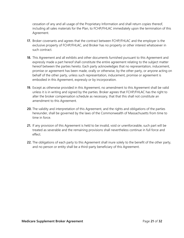cessation of any and all usage of the Proprietary Information and shall return copies thereof, including all sales materials for the Plan, to FCHP/FHLAC immediately upon the termination of this Agreement.

- **17.** Broker covenants and agrees that the contract between FCHP/FHLAC and the employer is the exclusive property of FCHP/FHLAC, and Broker has no property or other interest whatsoever in such contract.
- **18.** This Agreement and all exhibits and other documents furnished pursuant to this Agreement and expressly made a part hereof shall constitute the entire agreement relating to the subject matter hereof between the parties hereto. Each party acknowledges that no representation, inducement, promise or agreement has been made, orally or otherwise, by the other party, or anyone acting on behalf of the other party, unless such representation, inducement, promise or agreement is embodied in this Agreement, expressly or by incorporation.
- **19.** Except as otherwise provided in this Agreement, no amendment to this Agreement shall be valid unless it is in writing and signed by the parties. Broker agrees that FCHP/FHLAC has the right to alter the broker compensation schedule as necessary, that that this shall not constitute an amendment to this Agreement.
- **20.** The validity and interpretation of this Agreement, and the rights and obligations of the parties hereunder, shall be governed by the laws of the Commonwealth of Massachusetts from time to time in force.
- **21.** If any provision of this Agreement is held to be invalid, void or unenforceable, such part will be treated as severable and the remaining provisions shall nevertheless continue in full force and effect.
- **22.** The obligations of each party to this Agreement shall inure solely to the benefit of the other party, and no person or entity shall be a third-party beneficiary of this Agreement.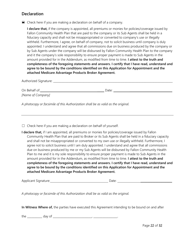## **Declaration**

 $\blacksquare$  Check here if you are making a declaration on behalf of a company.

**I declare that,** if the company is appointed, all premiums or monies for policies/coverage issued by Fallon Community Health Plan that are paid to the company or its Sub Agents shall be held in a fiduciary capacity and shall not be misappropriated or converted to company's use or illegally withheld. Furthermore, I agree, on behalf of company, not to solicit business until company is duly appointed. I understand and agree that all commissions due on business produced by the company or by Sub Agents under the company will be disbursed by Fallon Community Health Plan to the company and it the company's sole responsibility to ensure proper payment is made to Sub Agents in the amount provided for in the Addendum, as modified from time to time. **I attest to the truth and completeness of the foregoing statements and answers. I certify that I have read, understand and agree to be bound by the conditions identified on this Application for Appointment and the attached Medicare Advantage Products Broker Agreement.** 

| Authorized Signature:              |       |  |
|------------------------------------|-------|--|
| On Behalf of:<br>[Name of Company] | Date: |  |

*A photocopy or facsimile of this Authorization shall be as valid as the original.* 

 $\Box$  Check here if you are making a declaration on behalf of yourself.

| I declare that, if I am appointed, all premiums or monies for policies/coverage issued by Fallon      |
|-------------------------------------------------------------------------------------------------------|
| Community Health Plan that are paid to Broker or its Sub Agents shall be held in a fiduciary capacity |
| and shall not be misappropriated or converted to my own use or illegally withheld. Furthermore, I     |
| agree not to solicit business until I am duly appointed. I understand and agree that all commissions  |
| due on business produced by me or my Sub Agents will be disbursed by Fallon Community Health          |
| Plan to me and it is my sole responsibility to ensure proper payment is made to Sub Agents in the     |
| amount provided for in the Addendum, as modified from time to time. I attest to the truth and         |
| completeness of the foregoing statements and answers. I certify that I have read, understand and      |
| agree to be bound by the conditions identified on this Application for Appointment and the            |
| attached Medicare Advantage Products Broker Agreement.                                                |

Applicant Signature: <u>Date:</u> 2004. Date: 2004. Date:

*A photocopy or facsimile of this Authorization shall be as valid as the original.* 

**In Witness Where of,** the parties have executed this Agreement intending to be bound on and after

the \_\_\_\_\_\_\_\_\_\_ day of \_\_\_\_\_\_\_\_\_\_\_\_\_\_\_\_\_\_\_\_\_\_\_\_\_\_, \_\_\_\_\_\_\_\_\_\_\_\_\_\_\_\_.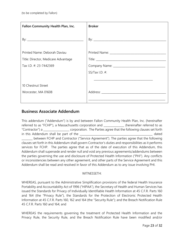| Fallon Community Health Plan, Inc.  | <b>Broker</b>     |
|-------------------------------------|-------------------|
|                                     |                   |
| Printed Name: Deborah Daviau        |                   |
| Title: Director, Medicare Advantage |                   |
| Tax I.D. #: 23-7442369              |                   |
|                                     | SS/Tax I.D. $#$ : |
|                                     |                   |
| 10 Chestnut Street                  |                   |
| Worcester, MA 01608                 |                   |
|                                     |                   |

## **Business Associate Addendum**

|                                                                                                     |  |  | This addendum ("Addendum") is by and between Fallon Community Health Plan, Inc. (hereinafter               |
|-----------------------------------------------------------------------------------------------------|--|--|------------------------------------------------------------------------------------------------------------|
|                                                                                                     |  |  | referred to as "FCHP"), a Massachusetts corporation and ____________ (hereinafter referred to as           |
|                                                                                                     |  |  | "Contractor") a ______________________ corporation. The Parties agree that the following clauses set forth |
| in this Addendum shall be part of the __                                                            |  |  | dated                                                                                                      |
|                                                                                                     |  |  | between FCHP and Contractor ("Service Agreement"). The parties agree that the following                    |
|                                                                                                     |  |  | clauses set forth in this Addendum shall govern Contractor's duties and responsibilities as it performs    |
|                                                                                                     |  |  | services for FCHP. The parties agree that as of the date of execution of this Addendum, this               |
|                                                                                                     |  |  | Addendum shall supersede and render null and void any previous agreements/addendums between                |
| the parties governing the use and disclosure of Protected Health Information ("PHI"). Any conflicts |  |  |                                                                                                            |
|                                                                                                     |  |  | or inconsistencies between any other agreement, and other parts of the Service Agreement and this          |
| Addendum shall be read and resolved in favor of this Addendum as to any issue involving PHI.        |  |  |                                                                                                            |

#### WITNESSETH:

WHEREAS, pursuant to the Administrative Simplification provisions of the federal Health Insurance Portability and Accountability Act of 1996 ("HIPAA"), the Secretary of Health and Human Services has issued the Standards for Privacy of Individually Identifiable Health Information at 45 C.F.R. Parts 160 and 164 (the "Privacy Rule"), the Standards for the Protection of Electronic Protected Health Information at 45 C.F.R. Parts 160, 162 and 164 (the "Security Rule"); and the Breach Notification Rule 45 C.F.R. Parts 160 and 164; and

WHEREAS the requirements governing the treatment of Protected Health Information and the Privacy Rule, the Security Rule, and the Breach Notification Rule have been modified and/or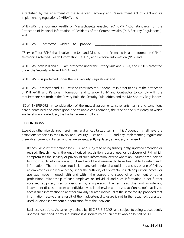established by the enactment of the American Recovery and Reinvestment Act of 2009 and its implementing regulations ("ARRA"); and

WHEREAS, the Commonwealth of Massachusetts enacted 201 CMR 17.00 Standards for the Protection of Personal Information of Residents of the Commonwealth ("MA Security Regulations"); and

WHEREAS, Contractor wishes to provide

("Services") for FCHP that involves the Use and Disclosure of Protected Health Information ("PHI"), electronic Protected Health Information ("ePHI"), and Personal Information ("PI"); and

\_\_\_\_\_\_\_\_\_\_\_\_\_\_\_\_\_\_\_\_\_\_\_\_\_\_\_\_\_\_\_\_\_\_\_\_\_\_\_\_\_\_\_\_\_\_\_\_\_\_\_\_\_\_\_\_\_\_\_\_\_\_\_\_\_\_\_\_\_\_\_\_\_\_\_\_\_\_\_\_\_\_\_\_\_\_\_\_\_\_\_\_\_\_\_\_\_\_\_\_\_\_

WHEREAS, both PHI and ePHI are protected under the Privacy Rule and ARRA, and ePHI is protected under the Security Rule and ARRA; and

WHEREAS, PI is protected under the MA Security Regulations; and

WHEREAS, Contractor and FCHP wish to enter into this Addendum in order to ensure the protection of PHI, ePHI, and Personal Information and to allow FCHP and Contractor to comply with the requirements set forth in the Privacy Rule, the Security Rule, ARRA, and the MA Security Regulations.

NOW, THEREFORE, in consideration of the mutual agreements, covenants, terms and conditions herein contained and other good and valuable consideration, the receipt and sufficiency of which are hereby acknowledged, the Parties agree as follows:

#### **I. DEFINITIONS**

Except as otherwise defined herein, any and all capitalized terms in this Addendum shall have the definitions set forth in the Privacy and Security Rules and ARRA (and any implementing regulations thereof) as currently drafted and as are subsequently updated, amended, or revised.

Breach. As currently defined by ARRA, and subject to being subsequently, updated amended or revised, Breach means the unauthorized acquisition, access, use, or disclosure of PHI which compromises the security or privacy of such information, except where an unauthorized person to whom such information is disclosed would not reasonably have been able to retain such information. The term does not include any unintentional acquisition, access, or use of PHI by an employee or individual acting under the authority of Contractor if such acquisition, access, or use was made in good faith and within the course and scope of employment or other professional relationship of such employee or individual and such information is not further accessed, acquired, used or disclosed by any person. The term also does not include any inadvertent disclosure from an individual who is otherwise authorized at Contractor's facility to access such information to another similarly situated individual at the same facility, provided that information received as a result of the inadvertent disclosure is not further acquired, accessed, used, or disclosed without authorization from the Individual.

Business Associate. As currently defined by 45 C.F.R. §160.103, and subject to being subsequently updated, amended, or revised, Business Associate means an entity who on behalf of FCHP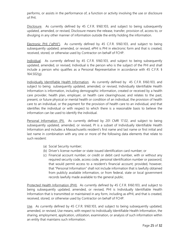performs, or assists in the performance of, a function or activity involving the use or disclosure of PHI.

Disclosure. As currently defined by 45 C.F.R. §160.103, and subject to being subsequently updated, amended, or revised, Disclosure means the release, transfer, provision of, access to, or divulging in any other manner of information outside the entity holding the information.

Electronic PHI ("ePHI"). As currently defined by 45 C.F.R. §160.103, and subject to being subsequently updated, amended, or revised, ePHI is PHI in electronic form and that is created, received, stored, or otherwise used by Contractor on behalf of FCHP.

Individual. As currently defined by 45 C.F.R. §160.103, and subject to being subsequently updated, amended, or revised, Individual is the person who is the subject of the PHI and shall include a person who qualifies as a Personal Representative in accordance with 45 C.F.R. § 164.502(g).

Individually Identifiable Health Information. As currently defined by 45 C.F.R. §160.103, and subject to being subsequently updated, amended, or revised, Individually Identifiable Health Information is information, including demographic information, created or received by a health care provider, health plan, employer, or health care clearinghouse; and relates to the past, present, or future physical or mental health or condition of an individual, the provision of health care to an individual, or the payment for the provision of health care to an individual; and that identifies the individual or with respect to which there is a reasonable basis to believe the information can be used to identify the individual.

Personal Information (PI). As currently defined by 201 CMR 17.02, and subject to being subsequently updated, amended, or revised, PI is a subset of Individually Identifiable Health Information and includes a Massachusetts resident's first name and last name or first initial and last name in combination with any one or more of the following data elements that relate to such resident:

- (a) Social Security number;
- (b) Driver's license number or state-issued identification card number; or
- (c) Financial account number, or credit or debit card number, with or without any required security code, access code, personal identification number or password, that would permit access to a resident's financial account; provided, however, that "Personal Information" shall not include information that is lawfully obtained from publicly available information, or from federal, state or local government records lawfully made available to the general public.

Protected Health Information (PHI). As currently defined by 45 C.F.R. §160.103, and subject to being subsequently updated, amended, or revised, PHI is Individually Identifiable Health Information that is transmitted or maintained in any form, including as ePHI, and that is created, received, stored, or otherwise used by Contractor on behalf of FCHP.

Use. As currently defined by 45 C.F.R. §160.103, and subject to being subsequently updated, amended, or revised, Use means, with respect to Individually Identifiable Health Information, the sharing, employment, application, utilization, examination, or analysis of such information within an entity that maintains such information.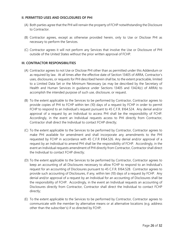#### **II. PERMITTED USES AND DISCLOSURES OF PHI**

- (A) Both parties agree that the PHI will remain the property of FCHP notwithstanding the Disclosure to Contractor.
- (B) Contractor agrees, except as otherwise provided herein, only to Use or Disclose PHI as necessary to perform the Services.
- (C) Contractor agrees it will not perform any Services that involve the Use or Disclosure of PHI outside of the United States without the prior written approval of FCHP.

#### **III. CONTRACTOR RESPONSIBILITIES**

- (A) Contractor agrees to not Use or Disclose PHI other than as permitted under this Addendum or as required by law. At all times after the effective date of Section 13405 of ARRA, Contractor's uses, disclosures, or requests for PHI described herein shall be, to the extent practicable, limited to a Limited Data Set or the Minimum Necessary (as may be described by the Secretary of Health and Human Services in guidance under Sections 13405 and 13424(c) of ARRA) to accomplish the intended purpose of such use, disclosure, or request.
- (B) To the extent applicable to the Services to be performed by Contractor, Contractor agrees to provide copies of PHI to FCHP within ten (10) days of a request by FCHP in order to permit FCHP to respond to an Individual's request pursuant to 45 C.F.R. §164.524. Any denial and/or approval of a request by an Individual to access PHI shall be the responsibility of FCHP. Accordingly, in the event an Individual requests access to PHI directly from Contractor, Contractor shall direct the Individual to contact FCHP directly;
- (C) To the extent applicable to the Services to be performed by Contractor, Contractor agrees to make PHI available for amendment and shall incorporate any amendments to the PHI requested by FCHP in accordance with 45 C.F.R §164.526. Any denial and/or approval of a request by an Individual to amend PHI shall be the responsibility of FCHP. Accordingly, in the event an Individual requests amendment of PHI directly from Contractor, Contractor shall direct the Individual to contact FCHP directly;
- (D) To the extent applicable to the Services to be performed by Contractor, Contractor agrees to keep an accounting of all Disclosures necessary to allow FCHP to respond to an Individual's request for an accounting of Disclosures pursuant to 45 C.F.R. §164.528. Contractor agrees to provide such accounting of Disclosures, if any, within ten (10) days of a request by FCHP. Any denial and/or approval of a request by an Individual for an accounting of Disclosures shall be the responsibility of FCHP. Accordingly, in the event an Individual requests an accounting of Disclosures directly from Contractor, Contractor shall direct the Individual to contact FCHP directly;
- (E) To the extent applicable to the Services to be performed by Contractor, Contractor agrees to communicate with the member by alternative means or at alternative locations (e.g. address other than the subscriber's) if so directed by FCHP;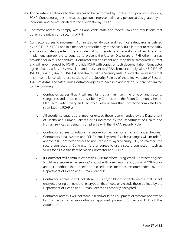- (F) To the extent applicable to the Services to be performed by Contractor, upon notification by FCHP, Contractor agrees to treat as a personal representative any person so designated by an Individual and communicated to the Contractor by FCHP;
- (G) Contractor agrees to comply with all applicable state and federal laws and regulations that govern the privacy and security of PHI;
- (H) Contractor agrees to implement Administrative, Physical and Technical safeguards as defined by 45 C.F.R. §164.304 and in a manner as described by the Security Rule in order to reasonably and appropriately protect the confidentiality, integrity and availability of ePHI and to implement appropriate safeguards to prevent the Use or Disclosure of PHI other than as provided for in this Addendum. Contractor will document and keep these safeguards current and will, upon request by FCHP, provide FCHP with copies of such documentation; Contractor agrees that as a Business Associate and, pursuant to ARRA, it must comply with 45 C.F.R. §§ 164.308, 164.310, 164.312, 164.314, and 164.316 of the Security Rule. Contractor represents that it is in compliance with these sections of the Security Rule as of the effective date of Section 13401 of ARRA. The safeguards Contractor agrees to have in place include, but are not limited to, the following:
	- i. Contractor agrees that it will maintain, at a minimum, the privacy and security safeguards and practices as described by Contractor in the Fallon Community Health Plan Third Party Privacy and Security Questionnaires that Contractor completed and submitted to FCHP on **with the submitted** to  $\blacksquare$
	- ii. All security safeguards that meet or exceed those recommended by the Department of Health and Human Services or as indicated by the Department of Health and Human Services as being in compliance with the HIPAA Security Rule;
	- iii. Contractor agrees to establish a secure connection for email exchanges between Contractors email system and FCHP's email system if such exchanges will include PI and/or PHI. Contractor agrees to use Transport Layer Security (TLS) to maintain the secure connection. Contractor further agrees to use a secure connection (such as SFTP) for all file transfers between Contractor and FCHP;
	- iv. If Contractor will communicate with FCHP members using email, Contractor agrees to utilize a secure email service/product with a minimum encryption of 128 bits or another method that meets or exceeds the methods recommended by the Department of Health and Human Services;
	- v. Contractor agrees it will not store PHI and/or PI on portable media that is not encrypted using a method of encryption that meets or exceeds those defined by the Department of Health and Human Services as properly encrypted;
	- vi. Contractor agrees it will not store PHI and/or PI on equipment or systems not owned by Contractor or a subcontractor approved pursuant to Section III(K) of this Addendum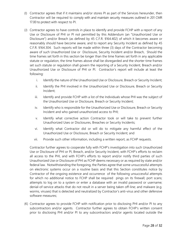- (I) Contractor agrees that if it maintains and/or stores PI as part of the Services hereunder, then Contractor will be required to comply with and maintain security measures outlined in 201 CMR 17.00 to protect with respect to PI.
- (J) Contractor agrees to have controls in place to identify and provide FCHP with a report of any Use or Disclosure of PHI or PI not permitted by this Addendum (an "Unauthorized Use or Disclosure") and/or Breach (as defined by 45 C.F.R. §164.402) of which it becomes aware or reasonably should have become aware, and to report any Security Incident as defined by 45 C.F.R. §164.304. Such reports will be made within three (3) days of the Contractor becoming aware of such Unauthorized Use or Disclosure, Security Incident and/or Breach, Should the time frames set forth in this section be longer than the time frames set forth in any applicable statute or regulation, the time frames above shall be disregarded and the shorter time frames set such statute or regulation shall govern the reporting of a Security Incident, Breach and/or Unauthorized Use or Disclosure of PHI or PI. Contractor's report will include at least the following:
	- i. Identify the nature of the Unauthorized Use or Disclosure, Breach or Security Incident;
	- ii. Identify the PHI involved in the Unauthorized Use or Disclosure, Breach or Security Incident;
	- iii. Identify and provide FCHP with a list of the Individuals whose PHI was the subject of the Unauthorized Use or Disclosure, Breach or Security Incident;
	- iv. Identify who is responsible for the Unauthorized Use or Disclosure, Breach or Security Incident and who gained unauthorized access to PHI;
	- v. Identify what corrective action Contractor took or will take to prevent further Unauthorized Uses or Disclosures, Breaches or Security Incidents;
	- vi. Identify what Contractor did or will do to mitigate any harmful effect of the Unauthorized Use or Disclosure, Breach or Security Incident; and
	- vii. Provide such other information, including a written report, as FCHP requests.

Contractor further agrees to cooperate fully with FCHP's investigation into such Unauthorized Use or Disclosure of PHI or PI, Breach, and/or Security Incident, with FCHP's efforts to reclaim all access to the PHI, and with FCHP's efforts to report and/or notify third parties of such Unauthorized Use or Disclosure of PHI as FCHP deems necessary or as required by state and/or federal law. Notwithstanding the foregoing, the Parties agree that some unsuccessful attempts on electronic systems occur on a routine basis and that this Section constitutes notice by Contractor of the ongoing existence and occurrence of the following unsuccessful attempts for which no additional notice to FCHP shall be required pings on its firewall; port scans; attempts to log on to a system or enter a database with an invalid password or username; denial-of-service attacks that do not result in a server being taken off-line; and malware (e.g. worms, viruses) that is detected and neutralized by Contractor's anti-virus and other defensive software measures;

(K) Contractor agrees to provide FCHP with notification prior to disclosing PHI and/or PI to any subcontractors and/or agents. Contractor further agrees to obtain FCHP's written consent prior to disclosing PHI and/or PI to any subcontractors and/or agents located outside the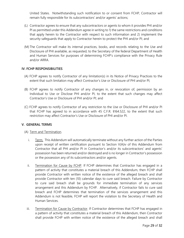United States. Notwithstanding such notification to or consent from FCHP, Contractor will remain fully responsible for its subcontractors' and/or agents' actions;

- (L) Contractor agrees to ensure that any subcontractors or agents to whom it provides PHI and/or PI as permitted under this Addendum agree in writing to 1) the same restrictions and conditions that apply herein to the Contractor with respect to such information and 2) implement the security safeguards that apply to Contractor herein to protect the PHI and/or PI; and
- (M) The Contractor will make its internal practices, books, and records relating to the Use and Disclosure of PHI available, as requested, to the Secretary of the federal Department of Health and Human Services for purposes of determining FCHP's compliance with the Privacy Rule and/or ARRA.

#### **IV. FCHP RESPONSIBILITIES**

- (A) FCHP agrees to notify Contractor of any limitation(s) in its Notice of Privacy Practices to the extent that such limitation may affect Contractor's Use or Disclosure of PHI and/or PI;
- (B) FCHP agrees to notify Contractor of any changes in, or revocation of, permission by an Individual to Use or Disclose PHI and/or PI, to the extent that such changes may affect Contractor's Use or Disclosure of PHI and/or PI; and
- (C) FCHP agrees to notify Contractor of any restriction to the Use or Disclosure of PHI and/or PI that FCHP has agreed to in accordance with 45 C.F.R. §164.522, to the extent that such restriction may affect Contractor's Use or Disclosure of PHI and/or PI.

#### **V. GENERAL TERMS**

#### (A) Term and Termination.

- i. Term. This Addendum will automatically terminate without any further action of the Parties upon receipt of written certification pursuant to Section V(A)iv of this Addendum from Contractor that all PHI and/or PI in Contractor's and/or its subcontractors' and agents' possession has been returned and/or destroyed and is no longer in Contractor's possession or the possession any of its subcontractors and/or agents.
- ii. Termination for Cause by FCHP. If FCHP determines that Contractor has engaged in a pattern of activity that constitutes a material breach of this Addendum, then FCHP shall provide Contractor with written notice of the existence of the alleged breach and shall provide Contractor with ten (10) calendar days to cure said breach. Failure by Contractor to cure said breach shall be grounds for immediate termination of any services arrangement and this Addendum by FCHP. Alternatively, if Contractor fails to cure said breach and FCHP determines that termination of the services arrangement and this Addendum is not feasible, FCHP will report the violation to the Secretary of Health and Human Services.
- iii. Termination for Cause by Contractor. If Contractor determines that FCHP has engaged in a pattern of activity that constitutes a material breach of this Addendum, then Contractor shall provide FCHP with written notice of the existence of the alleged breach and shall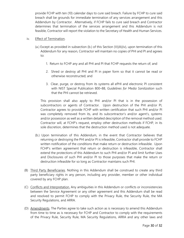provide FCHP with ten (10) calendar days to cure said breach. Failure by FCHP to cure said breach shall be grounds for immediate termination of any services arrangement and this Addendum by Contractor. Alternatively, if FCHP fails to cure said breach and Contractor determines that termination of the services arrangement and this Addendum is not feasible, Contractor will report the violation to the Secretary of Health and Human Services.

#### iv. Effect of Termination.

- (a.) Except as provided in subsection (b.) of this Section (V)(A)(iv), upon termination of this Addendum for any reason, Contractor will maintain no copies of PHI and PI and agrees to:
	- 1. Return to FCHP any and all PHI and PI that FCHP requests the return of; and
	- 2. Shred or destroy all PHI and PI in paper form so that it cannot be read or otherwise reconstructed; and
	- 3. Clear, purge, or destroy from its systems all ePHI and electronic PI consistent with NIST Special Publication 800–88, *Guidelines for Media Sanitization* such that the PHI cannot be retrieved.

This provision shall also apply to PHI and/or PI that is in the possession of subcontractors or agents of Contractor. Upon destruction of the PHI and/or PI, Contractor agrees to provide FCHP with written certification that such PHI and/or PI was completely removed from its, and its subcontractor's and/or agent's, systems and/or possession as well as a written detailed description of the removal method used. Contractor will, at FCHP's request, employ other destruction methods if FCHP, in its sole discretion, determines that the destruction method used is not adequate.

- (b.) Upon termination of this Addendum, in the event that Contractor believes that returning or destroying the PHI and/or PI is infeasible, Contractor shall provide to FCHP written notification of the conditions that make return or destruction infeasible. Upon FCHP's written agreement that return or destruction is infeasible, Contractor shall extend the protections of this Addendum to such PHI and/or PI and limit further Uses and Disclosures of such PHI and/or PI to those purposes that make the return or destruction infeasible for so long as Contractor maintains such PHI.
- (B) Third Party Beneficiaries. Nothing in this Addendum shall be construed to create any third party beneficiary rights in any person, including any provider, member or other individual covered by any FCHP plan.
- (C) Conflicts and Interpretation. Any ambiguities in this Addendum or conflicts or inconsistencies between the Service Agreement or any other agreement and this Addendum shall be read and resolved to permit FCHP to comply with the Privacy Rule, the Security Rule, the MA Security Regulations, and ARRA.
- (D) Amendments. The Parties agree to take such action as is necessary to amend this Addendum from time to time as is necessary for FCHP and Contractor to comply with the requirements of the Privacy Rule, Security Rule, MA Security Regulations, ARRA and any other laws and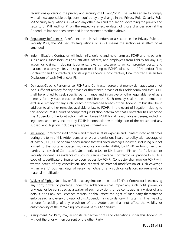regulations governing the privacy and security of PHI and/or PI. The Parties agree to comply with all new applicable obligations required by any change in the Privacy Rule, Security Rule, MA Security Regulations, ARRA and any other laws and regulations governing the privacy and security of PHI and/ or PI on the respective effective dates of those changes even if this Addendum has not been amended in the manner described above.

- (E) Regulatory References. A reference in this Addendum to a section in the Privacy Rule, the Security Rule, the MA Security Regulations, or ARRA means the section as in effect or as amended.
- (F) Indemnification. Contractor will indemnify, defend and hold harmless FCHP and its parents, subsidiaries, successors, assigns, affiliates, officers, and employees from liability for any suit, action or claims, including judgments, awards, settlements or compromise costs, and reasonable attorneys' fees, arising from or relating to FCHP's disclosure of PHI and/or PI to Contractor and Contractor's, and its agents and/or subcontractors, Unauthorized Use and/or Disclosure of such PHI and/or PI.
- (G) Damages/Specific Performance. FCHP and Contractor agree that money damages would not be a sufficient remedy for any breach or threatened breach of this Addendum and that FCHP shall be entitled to seek specific performance and injunctive or other equitable relief as a remedy for any such breach or threatened breach. Such remedy shall not be deemed an exclusive remedy for any such breach or threatened breach of this Addendum but shall be in addition to all other remedies available at law to FCHP. In the event of litigation relating to this Addendum if a court of competent jurisdiction determines that Contractor has breached this Addendum, the Contractor shall reimburse FCHP for all reasonable expenses, including legal fees and costs, incurred by FCHP in connection with mitigation of the breach and any subsequent litigation including any appeals therefrom.
- (H) Insurance. Contractor shall procure and maintain, at its expense and uninterrupted at all times during the term of this Addendum, an errors and omissions insurance policy with coverage of at least \$1,000,000 per claim or occurrence that will cover damages incurred, including but not limited to the costs associated with notification under ARRA, by FCHP and/or other third parties as a result of Contractor's Unauthorized Use or Disclosure of PHI and/or PI, Breach, or Security Incident. As evidence of such insurance coverage, Contractor will provide to FCHP a copy of its certificate of insurance upon request by FCHP. Contractor shall provide FCHP with written notice of any cancellation, non-renewal, or material modification of such coverage within five (5) business days of receiving notice of any such cancellation, non-renewal, or material modification.
- (I) Waiver of Rights. No delay or failure at any time on the part of FCHP or Contractor in exercising any right, power or privilege under this Addendum shall impair any such right, power, or privilege, or be construed as a waiver of such provisions, or be construed as a waiver of any default or as any acquiescence therein, or shall affect the right of such party thereafter to enforce each and every provision of this Addendum in accordance with its terms. The invalidity or unenforceability of any provision of the Addendum shall not affect the validity or enforceability of the remaining provisions of this Addendum.
- (J) Assignment. No Party may assign its respective rights and obligations under this Addendum without the prior written consent of the other Party.